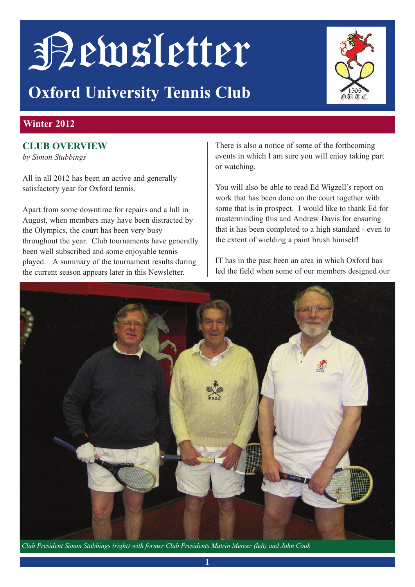# Newsletter

# **Oxford University Tennis Club**



### **Winter 2012**

### **ClUb OvervieW**

*by Simon Stubbings*

All in all 2012 has been an active and generally satisfactory year for Oxford tennis.

Apart from some downtime for repairs and a lull in August, when members may have been distracted by the Olympics, the court has been very busy throughout the year. Club tournaments have generally been well subscribed and some enjoyable tennis played. A summary of the tournament results during the current season appears later in this Newsletter.

There is also a notice of some of the forthcoming events in which I am sure you will enjoy taking part or watching.

You will also be able to read Ed Wigzell's report on work that has been done on the court together with some that is in prospect. I would like to thank Ed for masterminding this and Andrew Davis for ensuring that it has been completed to a high standard - even to the extent of wielding a paint brush himself!

IT has in the past been an area in which Oxford has led the field when some of our members designed our



*Club President Simon Stubbings (right) with former Club Presidents Matrin Mercer (left) and John Cook*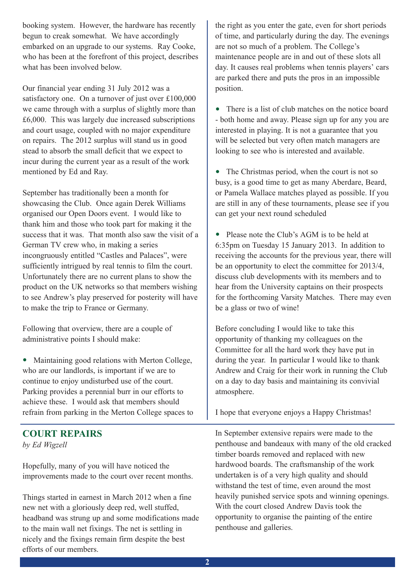booking system. However, the hardware has recently begun to creak somewhat. We have accordingly embarked on an upgrade to our systems. Ray Cooke, who has been at the forefront of this project, describes what has been involved below.

Our financial year ending 31 July 2012 was a satisfactory one. On a turnover of just over £100,000 we came through with a surplus of slightly more than £6,000. This was largely due increased subscriptions and court usage, coupled with no major expenditure on repairs. The 2012 surplus will stand us in good stead to absorb the small deficit that we expect to incur during the current year as a result of the work mentioned by Ed and Ray.

September has traditionally been a month for showcasing the Club. Once again Derek Williams organised our Open Doors event. I would like to thank him and those who took part for making it the success that it was. That month also saw the visit of a German TV crew who, in making a series incongruously entitled "Castles and Palaces", were sufficiently intrigued by real tennis to film the court. Unfortunately there are no current plans to show the product on the UK networks so that members wishing to see Andrew's play preserved for posterity will have to make the trip to France or Germany.

Following that overview, there are a couple of administrative points I should make:

• Maintaining good relations with Merton College, who are our landlords, is important if we are to continue to enjoy undisturbed use of the court. Parking provides a perennial burr in our efforts to achieve these. I would ask that members should refrain from parking in the Merton College spaces to

### **COUrT repairs**  *by Ed Wigzell*

Hopefully, many of you will have noticed the improvements made to the court over recent months.

Things started in earnest in March 2012 when a fine new net with a gloriously deep red, well stuffed, headband was strung up and some modifications made to the main wall net fixings. The net is settling in nicely and the fixings remain firm despite the best efforts of our members.

the right as you enter the gate, even for short periods of time, and particularly during the day. The evenings are not so much of a problem. The College's maintenance people are in and out of these slots all day. It causes real problems when tennis players' cars are parked there and puts the pros in an impossible position.

• There is a list of club matches on the notice board - both home and away. Please sign up for any you are interested in playing. It is not a guarantee that you will be selected but very often match managers are looking to see who is interested and available.

• The Christmas period, when the court is not so busy, is a good time to get as many Aberdare, Beard, or Pamela Wallace matches played as possible. If you are still in any of these tournaments, please see if you can get your next round scheduled

• Please note the Club's AGM is to be held at 6:35pm on Tuesday 15 January 2013. In addition to receiving the accounts for the previous year, there will be an opportunity to elect the committee for 2013/4, discuss club developments with its members and to hear from the University captains on their prospects for the forthcoming Varsity Matches. There may even be a glass or two of wine!

Before concluding I would like to take this opportunity of thanking my colleagues on the Committee for all the hard work they have put in during the year. In particular I would like to thank Andrew and Craig for their work in running the Club on a day to day basis and maintaining its convivial atmosphere.

I hope that everyone enjoys a Happy Christmas!

In September extensive repairs were made to the penthouse and bandeaux with many of the old cracked timber boards removed and replaced with new hardwood boards. The craftsmanship of the work undertaken is of a very high quality and should withstand the test of time, even around the most heavily punished service spots and winning openings. With the court closed Andrew Davis took the opportunity to organise the painting of the entire penthouse and galleries.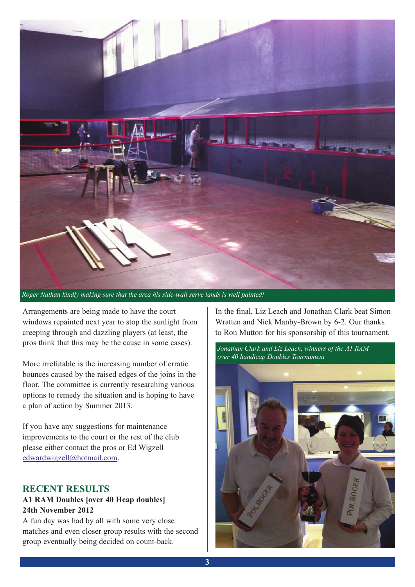

Arrangements are being made to have the court windows repainted next year to stop the sunlight from creeping through and dazzling players (at least, the pros think that this may be the cause in some cases).

More irrefutable is the increasing number of erratic bounces caused by the raised edges of the joins in the floor. The committee is currently researching various options to remedy the situation and is hoping to have a plan of action by Summer 2013.

If you have any suggestions for maintenance improvements to the court or the rest of the club please either contact the pros or Ed Wigzell edwardwigzell@hotmail.com.

### **reCenT resUlTs**

### **a1 raM Doubles [over 40 Hcap doubles] 24th november 2012**

A fun day was had by all with some very close matches and even closer group results with the second group eventually being decided on count-back.

In the final, Liz Leach and Jonathan Clark beat Simon Wratten and Nick Manby-Brown by 6-2. Our thanks to Ron Mutton for his sponsorship of this tournament.

*Jonathan Clark and Liz Leach, winners of the A1 RAM over 40 handicap Doubles Tournament*

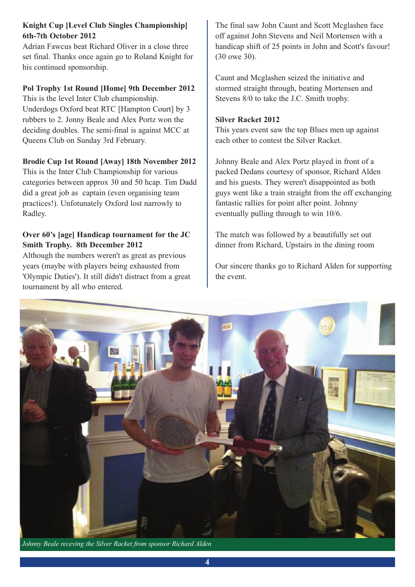### **Knight Cup [level Club singles Championship] 6th-7th October 2012**

Adrian Fawcus beat Richard Oliver in a close three set final. Thanks once again go to Roland Knight for his continued sponsorship.

### **Pol Trophy 1st Round [Home] 9th December 2012**

This is the level Inter Club championship. Underdogs Oxford beat RTC [Hampton Court] by 3 rubbers to 2. Jonny Beale and Alex Portz won the deciding doubles. The semi-final is against MCC at Queens Club on Sunday 3rd February.

### **brodie Cup 1st Round [Away] 18th November 2012**

This is the Inter Club Championship for various categories between approx 30 and 50 hcap. Tim Dadd did a great job as captain (even organising team practices!). Unfotunately Oxford lost narrowly to Radley.

### **Over 60's [age] Handicap tournament for the JC smith Trophy. 8th December 2012**

Although the numbers weren't as great as previous years (maybe with players being exhausted from 'Olympic Duties'). It still didn't distract from a great tournament by all who entered.

The final saw John Caunt and Scott Mcglashen face off against John Stevens and Neil Mortensen with a handicap shift of 25 points in John and Scott's favour! (30 owe 30).

Caunt and Mcglashen seized the initiative and stormed straight through, beating Mortensen and Stevens 8/0 to take the J.C. Smith trophy.

### **Silver Racket 2012**

This years event saw the top Blues men up against each other to contest the Silver Racket.

Johnny Beale and Alex Portz played in front of a packed Dedans courtesy of sponsor, Richard Alden and his guests. They weren't disappointed as both guys went like a train straight from the off exchanging fantastic rallies for point after point. Johnny eventually pulling through to win 10/6.

The match was followed by a beautifully set out dinner from Richard, Upstairs in the dining room

Our sincere thanks go to Richard Alden for supporting the event.



*Johnny Beale receving the Silver Racket from sponsor Richard Alden*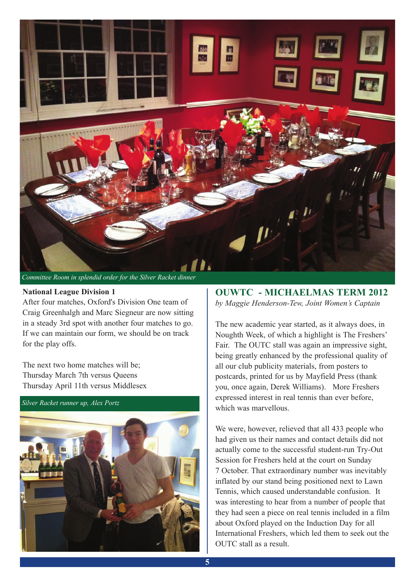

#### **national league Division 1**

After four matches, Oxford's Division One team of Craig Greenhalgh and Marc Siegneur are now sitting in a steady 3rd spot with another four matches to go. If we can maintain our form, we should be on track for the play offs.

The next two home matches will be; Thursday March 7th versus Queens Thursday April 11th versus Middlesex

*Silver Racket runner up, Alex Portz*



**OUWTC - MiCHaelMas TerM 2012** *by Maggie Henderson-Tew, Joint Women's Captain*

The new academic year started, as it always does, in Noughth Week, of which a highlight is The Freshers' Fair. The OUTC stall was again an impressive sight, being greatly enhanced by the professional quality of all our club publicity materials, from posters to postcards, printed for us by Mayfield Press (thank you, once again, Derek Williams). More Freshers expressed interest in real tennis than ever before, which was marvellous.

We were, however, relieved that all 433 people who had given us their names and contact details did not actually come to the successful student-run Try-Out Session for Freshers held at the court on Sunday 7 October. That extraordinary number was inevitably inflated by our stand being positioned next to Lawn Tennis, which caused understandable confusion. It was interesting to hear from a number of people that they had seen a piece on real tennis included in a film about Oxford played on the Induction Day for all International Freshers, which led them to seek out the OUTC stall as a result.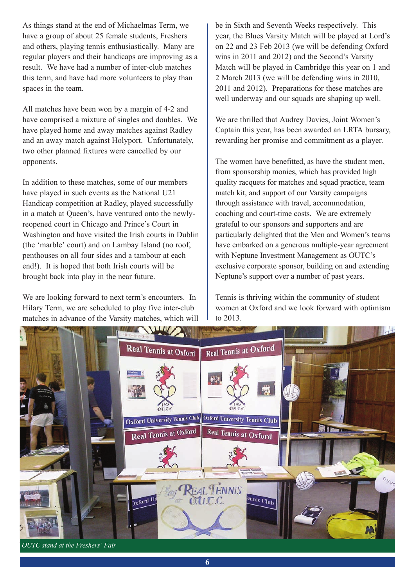As things stand at the end of Michaelmas Term, we have a group of about 25 female students, Freshers and others, playing tennis enthusiastically. Many are regular players and their handicaps are improving as a result. We have had a number of inter-club matches this term, and have had more volunteers to play than spaces in the team.

All matches have been won by a margin of 4-2 and have comprised a mixture of singles and doubles. We have played home and away matches against Radley and an away match against Holyport. Unfortunately, two other planned fixtures were cancelled by our opponents.

In addition to these matches, some of our members have played in such events as the National U21 Handicap competition at Radley, played successfully in a match at Queen's, have ventured onto the newlyreopened court in Chicago and Prince's Court in Washington and have visited the Irish courts in Dublin (the 'marble' court) and on Lambay Island (no roof, penthouses on all four sides and a tambour at each end!). It is hoped that both Irish courts will be brought back into play in the near future.

We are looking forward to next term's encounters. In Hilary Term, we are scheduled to play five inter-club matches in advance of the Varsity matches, which will

be in Sixth and Seventh Weeks respectively. This year, the Blues Varsity Match will be played at Lord's on 22 and 23 Feb 2013 (we will be defending Oxford wins in 2011 and 2012) and the Second's Varsity Match will be played in Cambridge this year on 1 and 2 March 2013 (we will be defending wins in 2010, 2011 and 2012). Preparations for these matches are well underway and our squads are shaping up well.

We are thrilled that Audrey Davies, Joint Women's Captain this year, has been awarded an LRTA bursary, rewarding her promise and commitment as a player.

The women have benefitted, as have the student men, from sponsorship monies, which has provided high quality racquets for matches and squad practice, team match kit, and support of our Varsity campaigns through assistance with travel, accommodation, coaching and court-time costs. We are extremely grateful to our sponsors and supporters and are particularly delighted that the Men and Women's teams have embarked on a generous multiple-year agreement with Neptune Investment Management as OUTC's exclusive corporate sponsor, building on and extending Neptune's support over a number of past years.

Tennis is thriving within the community of student women at Oxford and we look forward with optimism to 2013.



*OUTC stand at the Freshers' Fair*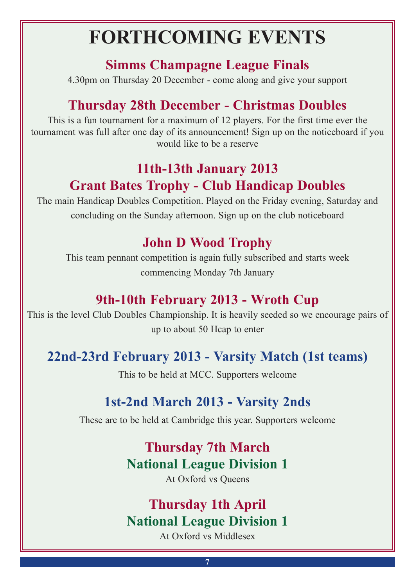# **FOrTHCOMinG evenTs**

## **simms Champagne league Finals**

4.30pm on Thursday 20 December - come along and give your support

# **Thursday 28th December - Christmas Doubles**

This is a fun tournament for a maximum of 12 players. For the first time ever the tournament was full after one day of its announcement! Sign up on the noticeboard if you would like to be a reserve

# **11th-13th January 2013 Grant bates Trophy - Club Handicap Doubles**

The main Handicap Doubles Competition. Played on the Friday evening, Saturday and concluding on the Sunday afternoon. Sign up on the club noticeboard

# **John D Wood Trophy**

This team pennant competition is again fully subscribed and starts week commencing Monday 7th January

# **9th-10th February 2013 - Wroth Cup**

This is the level Club Doubles Championship. It is heavily seeded so we encourage pairs of up to about 50 Hcap to enter

# **22nd-23rd February 2013 - varsity Match (1st teams)**

This to be held at MCC. Supporters welcome

# **1st-2nd March 2013 - varsity 2nds**

These are to be held at Cambridge this year. Supporters welcome

# **Thursday 7th March National League Division 1**

At Oxford vs Queens

# **Thursday 1th april National League Division 1**

At Oxford vs Middlesex